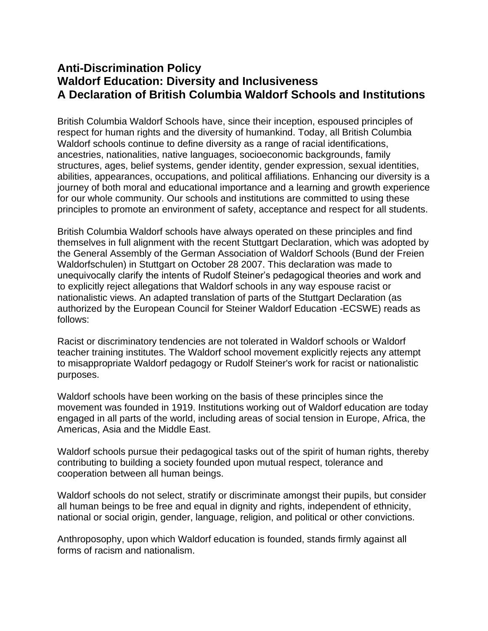## **Anti-Discrimination Policy Waldorf Education: Diversity and Inclusiveness A Declaration of British Columbia Waldorf Schools and Institutions**

British Columbia Waldorf Schools have, since their inception, espoused principles of respect for human rights and the diversity of humankind. Today, all British Columbia Waldorf schools continue to define diversity as a range of racial identifications, ancestries, nationalities, native languages, socioeconomic backgrounds, family structures, ages, belief systems, gender identity, gender expression, sexual identities, abilities, appearances, occupations, and political affiliations. Enhancing our diversity is a journey of both moral and educational importance and a learning and growth experience for our whole community. Our schools and institutions are committed to using these principles to promote an environment of safety, acceptance and respect for all students.

British Columbia Waldorf schools have always operated on these principles and find themselves in full alignment with the recent Stuttgart Declaration, which was adopted by the General Assembly of the German Association of Waldorf Schools (Bund der Freien Waldorfschulen) in Stuttgart on October 28 2007. This declaration was made to unequivocally clarify the intents of Rudolf Steiner's pedagogical theories and work and to explicitly reject allegations that Waldorf schools in any way espouse racist or nationalistic views. An adapted translation of parts of the Stuttgart Declaration (as authorized by the European Council for Steiner Waldorf Education -ECSWE) reads as follows:

Racist or discriminatory tendencies are not tolerated in Waldorf schools or Waldorf teacher training institutes. The Waldorf school movement explicitly rejects any attempt to misappropriate Waldorf pedagogy or Rudolf Steiner's work for racist or nationalistic purposes.

Waldorf schools have been working on the basis of these principles since the movement was founded in 1919. Institutions working out of Waldorf education are today engaged in all parts of the world, including areas of social tension in Europe, Africa, the Americas, Asia and the Middle East.

Waldorf schools pursue their pedagogical tasks out of the spirit of human rights, thereby contributing to building a society founded upon mutual respect, tolerance and cooperation between all human beings.

Waldorf schools do not select, stratify or discriminate amongst their pupils, but consider all human beings to be free and equal in dignity and rights, independent of ethnicity, national or social origin, gender, language, religion, and political or other convictions.

Anthroposophy, upon which Waldorf education is founded, stands firmly against all forms of racism and nationalism.